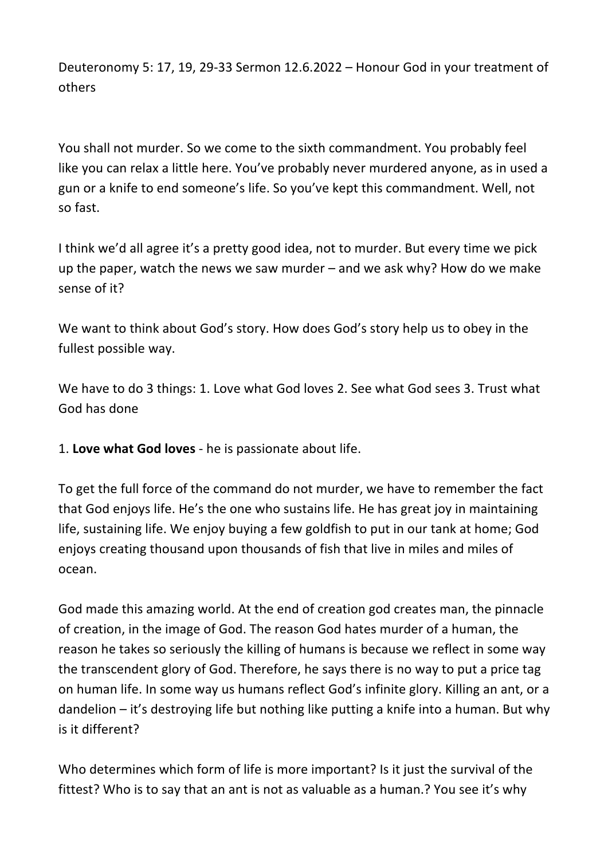Deuteronomy 5: 17, 19, 29-33 Sermon 12.6.2022 – Honour God in your treatment of others

You shall not murder. So we come to the sixth commandment. You probably feel like you can relax a little here. You've probably never murdered anyone, as in used a gun or a knife to end someone's life. So you've kept this commandment. Well, not so fast.

I think we'd all agree it's a pretty good idea, not to murder. But every time we pick up the paper, watch the news we saw murder – and we ask why? How do we make sense of it?

We want to think about God's story. How does God's story help us to obey in the fullest possible way.

We have to do 3 things: 1. Love what God loves 2. See what God sees 3. Trust what God has done

1. **Love what God loves** - he is passionate about life.

To get the full force of the command do not murder, we have to remember the fact that God enjoys life. He's the one who sustains life. He has great joy in maintaining life, sustaining life. We enjoy buying a few goldfish to put in our tank at home; God enjoys creating thousand upon thousands of fish that live in miles and miles of ocean.

God made this amazing world. At the end of creation god creates man, the pinnacle of creation, in the image of God. The reason God hates murder of a human, the reason he takes so seriously the killing of humans is because we reflect in some way the transcendent glory of God. Therefore, he says there is no way to put a price tag on human life. In some way us humans reflect God's infinite glory. Killing an ant, or a dandelion – it's destroying life but nothing like putting a knife into a human. But why is it different?

Who determines which form of life is more important? Is it just the survival of the fittest? Who is to say that an ant is not as valuable as a human.? You see it's why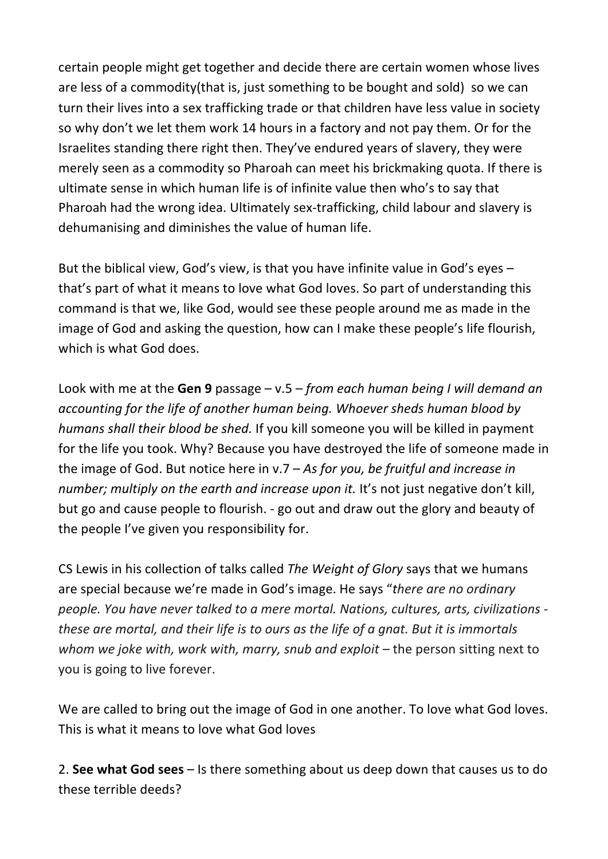certain people might get together and decide there are certain women whose lives are less of a commodity(that is, just something to be bought and sold) so we can turn their lives into a sex trafficking trade or that children have less value in society so why don't we let them work 14 hours in a factory and not pay them. Or for the Israelites standing there right then. They've endured years of slavery, they were merely seen as a commodity so Pharoah can meet his brickmaking quota. If there is ultimate sense in which human life is of infinite value then who's to say that Pharoah had the wrong idea. Ultimately sex-trafficking, child labour and slavery is dehumanising and diminishes the value of human life.

But the biblical view, God's view, is that you have infinite value in God's eyes – that's part of what it means to love what God loves. So part of understanding this command is that we, like God, would see these people around me as made in the image of God and asking the question, how can I make these people's life flourish, which is what God does.

Look with me at the **Gen 9** passage – v.5 – *from each human being I will demand an accounting for the life of another human being. Whoever sheds human blood by humans shall their blood be shed.* If you kill someone you will be killed in payment for the life you took. Why? Because you have destroyed the life of someone made in the image of God. But notice here in v.7 – *As for you, be fruitful and increase in number; multiply on the earth and increase upon it.* It's not just negative don't kill, but go and cause people to flourish. - go out and draw out the glory and beauty of the people I've given you responsibility for.

CS Lewis in his collection of talks called *The Weight of Glory* says that we humans are special because we're made in God's image. He says "*there are no ordinary people. You have never talked to a mere mortal. Nations, cultures, arts, civilizations these are mortal, and their life is to ours as the life of a gnat. But it is immortals whom we joke with, work with, marry, snub and exploit –* the person sitting next to you is going to live forever.

We are called to bring out the image of God in one another. To love what God loves. This is what it means to love what God loves

2. **See what God sees** – Is there something about us deep down that causes us to do these terrible deeds?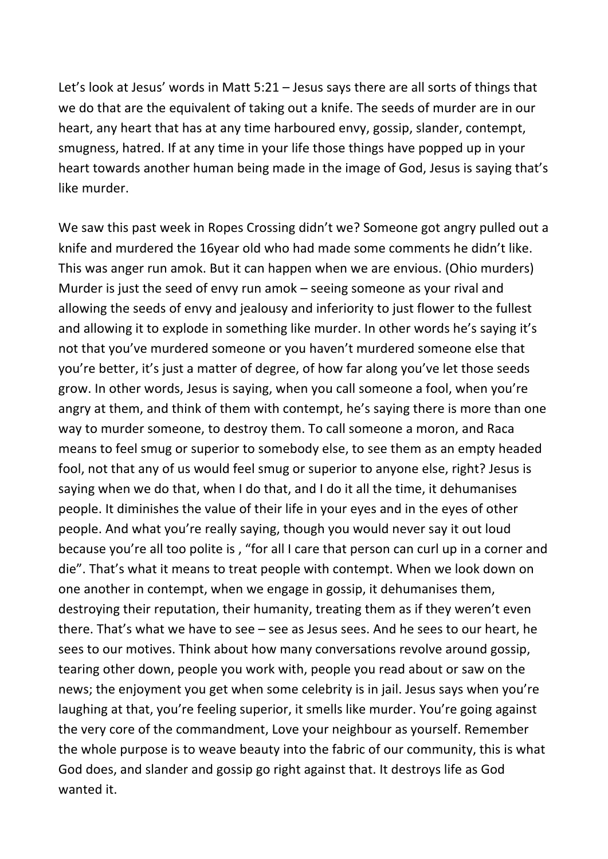Let's look at Jesus' words in Matt 5:21 – Jesus says there are all sorts of things that we do that are the equivalent of taking out a knife. The seeds of murder are in our heart, any heart that has at any time harboured envy, gossip, slander, contempt, smugness, hatred. If at any time in your life those things have popped up in your heart towards another human being made in the image of God, Jesus is saying that's like murder.

We saw this past week in Ropes Crossing didn't we? Someone got angry pulled out a knife and murdered the 16year old who had made some comments he didn't like. This was anger run amok. But it can happen when we are envious. (Ohio murders) Murder is just the seed of envy run amok – seeing someone as your rival and allowing the seeds of envy and jealousy and inferiority to just flower to the fullest and allowing it to explode in something like murder. In other words he's saying it's not that you've murdered someone or you haven't murdered someone else that you're better, it's just a matter of degree, of how far along you've let those seeds grow. In other words, Jesus is saying, when you call someone a fool, when you're angry at them, and think of them with contempt, he's saying there is more than one way to murder someone, to destroy them. To call someone a moron, and Raca means to feel smug or superior to somebody else, to see them as an empty headed fool, not that any of us would feel smug or superior to anyone else, right? Jesus is saying when we do that, when I do that, and I do it all the time, it dehumanises people. It diminishes the value of their life in your eyes and in the eyes of other people. And what you're really saying, though you would never say it out loud because you're all too polite is , "for all I care that person can curl up in a corner and die". That's what it means to treat people with contempt. When we look down on one another in contempt, when we engage in gossip, it dehumanises them, destroying their reputation, their humanity, treating them as if they weren't even there. That's what we have to see – see as Jesus sees. And he sees to our heart, he sees to our motives. Think about how many conversations revolve around gossip, tearing other down, people you work with, people you read about or saw on the news; the enjoyment you get when some celebrity is in jail. Jesus says when you're laughing at that, you're feeling superior, it smells like murder. You're going against the very core of the commandment, Love your neighbour as yourself. Remember the whole purpose is to weave beauty into the fabric of our community, this is what God does, and slander and gossip go right against that. It destroys life as God wanted it.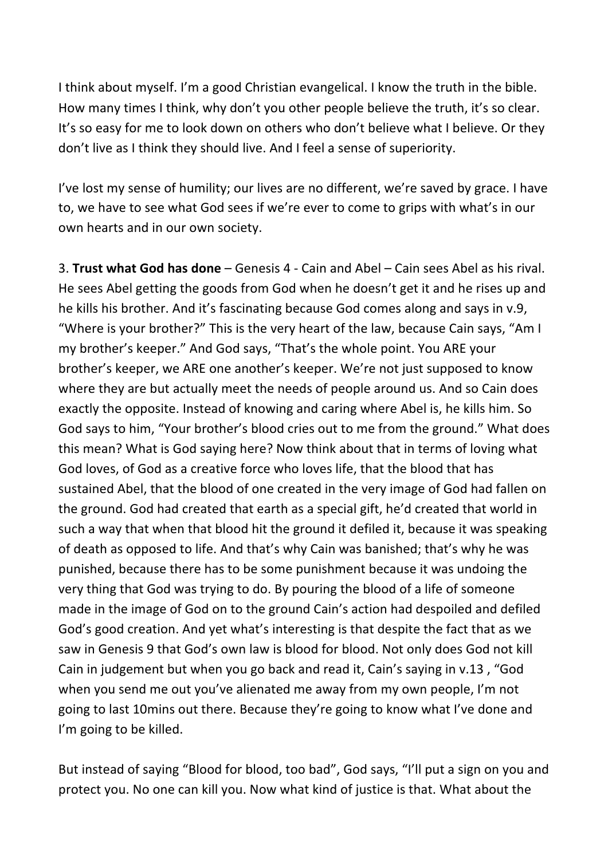I think about myself. I'm a good Christian evangelical. I know the truth in the bible. How many times I think, why don't you other people believe the truth, it's so clear. It's so easy for me to look down on others who don't believe what I believe. Or they don't live as I think they should live. And I feel a sense of superiority.

I've lost my sense of humility; our lives are no different, we're saved by grace. I have to, we have to see what God sees if we're ever to come to grips with what's in our own hearts and in our own society.

3. **Trust what God has done** – Genesis 4 - Cain and Abel – Cain sees Abel as his rival. He sees Abel getting the goods from God when he doesn't get it and he rises up and he kills his brother. And it's fascinating because God comes along and says in v.9, "Where is your brother?" This is the very heart of the law, because Cain says, "Am I my brother's keeper." And God says, "That's the whole point. You ARE your brother's keeper, we ARE one another's keeper. We're not just supposed to know where they are but actually meet the needs of people around us. And so Cain does exactly the opposite. Instead of knowing and caring where Abel is, he kills him. So God says to him, "Your brother's blood cries out to me from the ground." What does this mean? What is God saying here? Now think about that in terms of loving what God loves, of God as a creative force who loves life, that the blood that has sustained Abel, that the blood of one created in the very image of God had fallen on the ground. God had created that earth as a special gift, he'd created that world in such a way that when that blood hit the ground it defiled it, because it was speaking of death as opposed to life. And that's why Cain was banished; that's why he was punished, because there has to be some punishment because it was undoing the very thing that God was trying to do. By pouring the blood of a life of someone made in the image of God on to the ground Cain's action had despoiled and defiled God's good creation. And yet what's interesting is that despite the fact that as we saw in Genesis 9 that God's own law is blood for blood. Not only does God not kill Cain in judgement but when you go back and read it, Cain's saying in v.13 , "God when you send me out you've alienated me away from my own people, I'm not going to last 10mins out there. Because they're going to know what I've done and I'm going to be killed.

But instead of saying "Blood for blood, too bad", God says, "I'll put a sign on you and protect you. No one can kill you. Now what kind of justice is that. What about the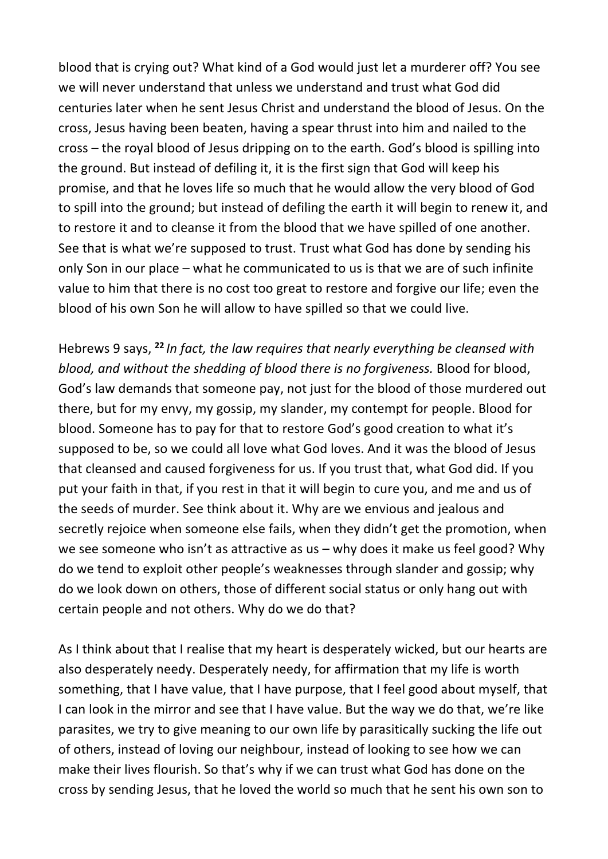blood that is crying out? What kind of a God would just let a murderer off? You see we will never understand that unless we understand and trust what God did centuries later when he sent Jesus Christ and understand the blood of Jesus. On the cross, Jesus having been beaten, having a spear thrust into him and nailed to the cross – the royal blood of Jesus dripping on to the earth. God's blood is spilling into the ground. But instead of defiling it, it is the first sign that God will keep his promise, and that he loves life so much that he would allow the very blood of God to spill into the ground; but instead of defiling the earth it will begin to renew it, and to restore it and to cleanse it from the blood that we have spilled of one another. See that is what we're supposed to trust. Trust what God has done by sending his only Son in our place – what he communicated to us is that we are of such infinite value to him that there is no cost too great to restore and forgive our life; even the blood of his own Son he will allow to have spilled so that we could live.

Hebrews 9 says, **<sup>22</sup>** *In fact, the law requires that nearly everything be cleansed with blood, and without the shedding of blood there is no forgiveness.* Blood for blood, God's law demands that someone pay, not just for the blood of those murdered out there, but for my envy, my gossip, my slander, my contempt for people. Blood for blood. Someone has to pay for that to restore God's good creation to what it's supposed to be, so we could all love what God loves. And it was the blood of Jesus that cleansed and caused forgiveness for us. If you trust that, what God did. If you put your faith in that, if you rest in that it will begin to cure you, and me and us of the seeds of murder. See think about it. Why are we envious and jealous and secretly rejoice when someone else fails, when they didn't get the promotion, when we see someone who isn't as attractive as us – why does it make us feel good? Why do we tend to exploit other people's weaknesses through slander and gossip; why do we look down on others, those of different social status or only hang out with certain people and not others. Why do we do that?

As I think about that I realise that my heart is desperately wicked, but our hearts are also desperately needy. Desperately needy, for affirmation that my life is worth something, that I have value, that I have purpose, that I feel good about myself, that I can look in the mirror and see that I have value. But the way we do that, we're like parasites, we try to give meaning to our own life by parasitically sucking the life out of others, instead of loving our neighbour, instead of looking to see how we can make their lives flourish. So that's why if we can trust what God has done on the cross by sending Jesus, that he loved the world so much that he sent his own son to